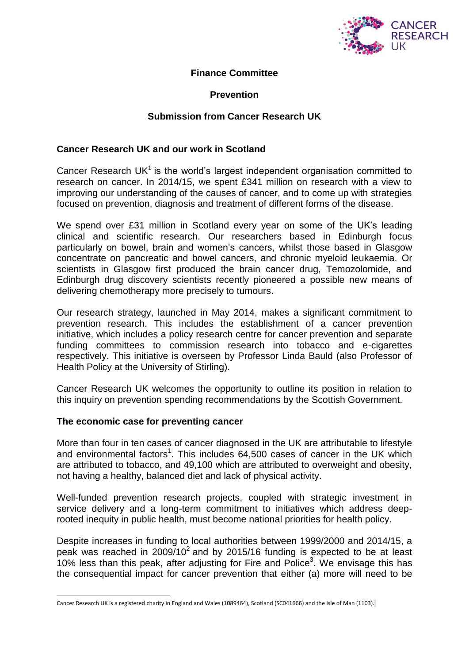

### **Finance Committee**

## **Prevention**

## **Submission from Cancer Research UK**

#### **Cancer Research UK and our work in Scotland**

Cancer Research UK $1$  is the world's largest independent organisation committed to research on cancer. In 2014/15, we spent £341 million on research with a view to improving our understanding of the causes of cancer, and to come up with strategies focused on prevention, diagnosis and treatment of different forms of the disease.

We spend over £31 million in Scotland every year on some of the UK's leading clinical and scientific research. Our researchers based in Edinburgh focus particularly on bowel, brain and women's cancers, whilst those based in Glasgow concentrate on pancreatic and bowel cancers, and chronic myeloid leukaemia. Or scientists in Glasgow first produced the brain cancer drug, Temozolomide, and Edinburgh drug discovery scientists recently pioneered a possible new means of delivering chemotherapy more precisely to tumours.

Our research strategy, launched in May 2014, makes a significant commitment to prevention research. This includes the establishment of a cancer prevention initiative, which includes a policy research centre for cancer prevention and separate funding committees to commission research into tobacco and e-cigarettes respectively. This initiative is overseen by Professor Linda Bauld (also Professor of Health Policy at the University of Stirling).

Cancer Research UK welcomes the opportunity to outline its position in relation to this inquiry on prevention spending recommendations by the Scottish Government.

#### **The economic case for preventing cancer**

 $\overline{a}$ 

More than four in ten cases of cancer diagnosed in the UK are attributable to lifestyle and environmental factors<sup>1</sup>. This includes 64,500 cases of cancer in the UK which are attributed to tobacco, and 49,100 which are attributed to overweight and obesity, not having a healthy, balanced diet and lack of physical activity.

Well-funded prevention research projects, coupled with strategic investment in service delivery and a long-term commitment to initiatives which address deeprooted inequity in public health, must become national priorities for health policy.

Despite increases in funding to local authorities between 1999/2000 and 2014/15, a peak was reached in 2009/10<sup>2</sup> and by 2015/16 funding is expected to be at least  $10\%$  less than this peak, after adjusting for Fire and Police<sup>3</sup>. We envisage this has the consequential impact for cancer prevention that either (a) more will need to be

Cancer Research UK is a registered charity in England and Wales (1089464), Scotland (SC041666) and the Isle of Man (1103).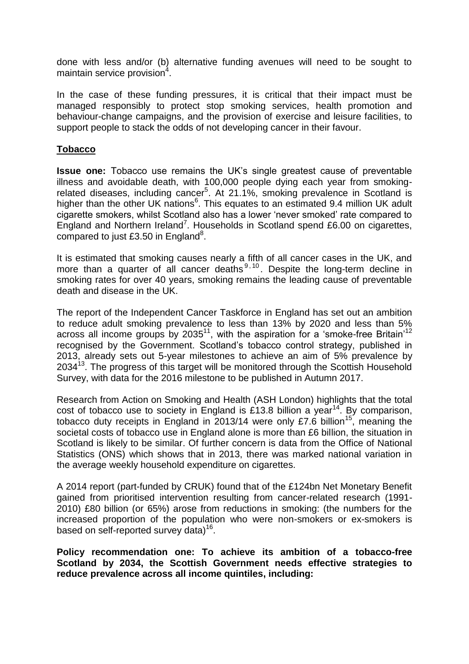done with less and/or (b) alternative funding avenues will need to be sought to maintain service provision<sup>4</sup>.

In the case of these funding pressures, it is critical that their impact must be managed responsibly to protect stop smoking services, health promotion and behaviour-change campaigns, and the provision of exercise and leisure facilities, to support people to stack the odds of not developing cancer in their favour.

### **Tobacco**

**Issue one:** Tobacco use remains the UK's single greatest cause of preventable illness and avoidable death, with 100,000 people dying each year from smokingrelated diseases, including cancer<sup>5</sup>. At 21.1%, smoking prevalence in Scotland is higher than the other UK nations<sup>6</sup>. This equates to an estimated 9.4 million UK adult cigarette smokers, whilst Scotland also has a lower 'never smoked' rate compared to England and Northern Ireland<sup>7</sup>. Households in Scotland spend £6.00 on cigarettes, compared to just £3.50 in England<sup>8</sup>.

It is estimated that smoking causes nearly a fifth of all cancer cases in the UK, and more than a quarter of all cancer deaths  $9,10$ . Despite the long-term decline in smoking rates for over 40 years, smoking remains the leading cause of preventable death and disease in the UK.

The report of the Independent Cancer Taskforce in England has set out an ambition to reduce adult smoking prevalence to less than 13% by 2020 and less than 5% across all income groups by 2035<sup>11</sup>, with the aspiration for a 'smoke-free Britain'<sup>12</sup> recognised by the Government. Scotland's tobacco control strategy, published in 2013, already sets out 5-year milestones to achieve an aim of 5% prevalence by 2034<sup>13</sup>. The progress of this target will be monitored through the Scottish Household Survey, with data for the 2016 milestone to be published in Autumn 2017.

Research from Action on Smoking and Health (ASH London) highlights that the total cost of tobacco use to society in England is £13.8 billion a year<sup>14</sup>. By comparison, tobacco duty receipts in England in 2013/14 were only £7.6 billion<sup>15</sup>, meaning the societal costs of tobacco use in England alone is more than £6 billion, the situation in Scotland is likely to be similar. Of further concern is data from the Office of National Statistics (ONS) which shows that in 2013, there was marked national variation in the average weekly household expenditure on cigarettes.

A 2014 report (part-funded by CRUK) found that of the £124bn Net Monetary Benefit gained from prioritised intervention resulting from cancer-related research (1991- 2010) £80 billion (or 65%) arose from reductions in smoking: (the numbers for the increased proportion of the population who were non-smokers or ex-smokers is based on self-reported survey data)<sup>16</sup>.

**Policy recommendation one: To achieve its ambition of a tobacco-free Scotland by 2034, the Scottish Government needs effective strategies to reduce prevalence across all income quintiles, including:**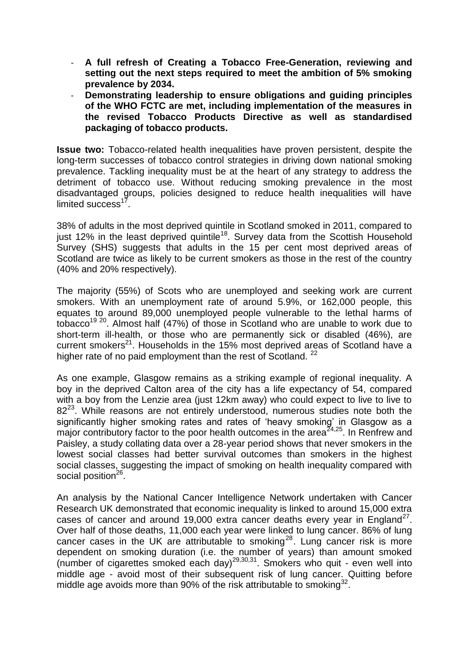- **A full refresh of Creating a Tobacco Free-Generation, reviewing and setting out the next steps required to meet the ambition of 5% smoking prevalence by 2034.**
- **Demonstrating leadership to ensure obligations and guiding principles of the WHO FCTC are met, including implementation of the measures in the revised Tobacco Products Directive as well as standardised packaging of tobacco products.**

**Issue two:** Tobacco-related health inequalities have proven persistent, despite the long-term successes of tobacco control strategies in driving down national smoking prevalence. Tackling inequality must be at the heart of any strategy to address the detriment of tobacco use. Without reducing smoking prevalence in the most disadvantaged groups, policies designed to reduce health inequalities will have limited success<sup>17</sup>.

38% of adults in the most deprived quintile in Scotland smoked in 2011, compared to just 12% in the least deprived quintile<sup>18</sup>. Survey data from the Scottish Household Survey (SHS) suggests that adults in the 15 per cent most deprived areas of Scotland are twice as likely to be current smokers as those in the rest of the country (40% and 20% respectively).

The majority (55%) of Scots who are unemployed and seeking work are current smokers. With an unemployment rate of around 5.9%, or 162,000 people, this equates to around 89,000 unemployed people vulnerable to the lethal harms of tobacco<sup>19</sup> <sup>20</sup>. Almost half (47%) of those in Scotland who are unable to work due to short-term ill-health, or those who are permanently sick or disabled (46%), are current smokers<sup>21</sup>. Households in the 15% most deprived areas of Scotland have a higher rate of no paid employment than the rest of Scotland.  $22$ 

As one example, Glasgow remains as a striking example of regional inequality. A boy in the deprived Calton area of the city has a life expectancy of 54, compared with a boy from the Lenzie area (just 12km away) who could expect to live to live to  $82^{23}$ . While reasons are not entirely understood, numerous studies note both the significantly higher smoking rates and rates of 'heavy smoking' in Glasgow as a major contributory factor to the poor health outcomes in the area<sup> $z_{4,25}$ </sup>. In Renfrew and Paisley, a study collating data over a 28-year period shows that never smokers in the lowest social classes had better survival outcomes than smokers in the highest social classes, suggesting the impact of smoking on health inequality compared with social position<sup>26</sup>.

An analysis by the National Cancer Intelligence Network undertaken with Cancer Research UK demonstrated that economic inequality is linked to around 15,000 extra cases of cancer and around 19,000 extra cancer deaths every year in England<sup>27</sup>. Over half of those deaths, 11,000 each year were linked to lung cancer. 86% of lung cancer cases in the UK are attributable to smoking<sup>28</sup>. Lung cancer risk is more dependent on smoking duration (i.e. the number of years) than amount smoked (number of cigarettes smoked each day)29,30,31. Smokers who quit - even well into middle age - avoid most of their subsequent risk of lung cancer. Quitting before middle age avoids more than 90% of the risk attributable to smoking $32$ .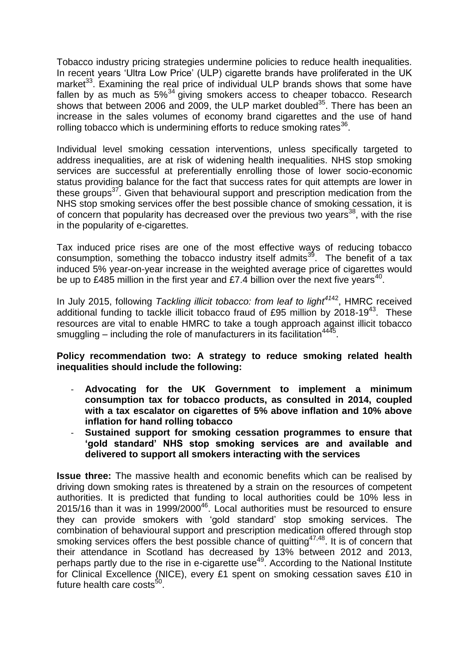Tobacco industry pricing strategies undermine policies to reduce health inequalities. In recent years 'Ultra Low Price' (ULP) cigarette brands have proliferated in the UK market $33$ . Examining the real price of individual ULP brands shows that some have fallen by as much as  $5\%^{34}$  giving smokers access to cheaper tobacco. Research shows that between 2006 and 2009, the ULP market doubled<sup>35</sup>. There has been an increase in the sales volumes of economy brand cigarettes and the use of hand rolling tobacco which is undermining efforts to reduce smoking rates<sup>36</sup>.

Individual level smoking cessation interventions, unless specifically targeted to address inequalities, are at risk of widening health inequalities. NHS stop smoking services are successful at preferentially enrolling those of lower socio-economic status providing balance for the fact that success rates for quit attempts are lower in these groups<sup>37</sup>. Given that behavioural support and prescription medication from the NHS stop smoking services offer the best possible chance of smoking cessation, it is of concern that popularity has decreased over the previous two years<sup>38</sup>, with the rise in the popularity of e-cigarettes.

Tax induced price rises are one of the most effective ways of reducing tobacco consumption, something the tobacco industry itself admits<sup>39</sup>. The benefit of a tax induced 5% year-on-year increase in the weighted average price of cigarettes would be up to £485 million in the first year and £7.4 billion over the next five years<sup>40</sup>.

In July 2015, following *Tackling illicit tobacco: from leaf to light<sup>41</sup>*<sup>42</sup>, HMRC received additional funding to tackle illicit tobacco fraud of £95 million by 2018-19<sup>43</sup>. These resources are vital to enable HMRC to take a tough approach against illicit tobacco smuggling  $-$  including the role of manufacturers in its facilitation $4445$ .

### **Policy recommendation two: A strategy to reduce smoking related health inequalities should include the following:**

- **Advocating for the UK Government to implement a minimum consumption tax for tobacco products, as consulted in 2014, coupled with a tax escalator on cigarettes of 5% above inflation and 10% above inflation for hand rolling tobacco**
- **Sustained support for smoking cessation programmes to ensure that 'gold standard' NHS stop smoking services are and available and delivered to support all smokers interacting with the services**

**Issue three:** The massive health and economic benefits which can be realised by driving down smoking rates is threatened by a strain on the resources of competent authorities. It is predicted that funding to local authorities could be 10% less in 2015/16 than it was in 1999/2000<sup>46</sup>. Local authorities must be resourced to ensure they can provide smokers with 'gold standard' stop smoking services. The combination of behavioural support and prescription medication offered through stop smoking services offers the best possible chance of quitting  $47,48$ . It is of concern that their attendance in Scotland has decreased by 13% between 2012 and 2013, perhaps partly due to the rise in e-cigarette use<sup>49</sup>. According to the National Institute for Clinical Excellence (NICE), every £1 spent on smoking cessation saves £10 in future health care costs<sup>50</sup>.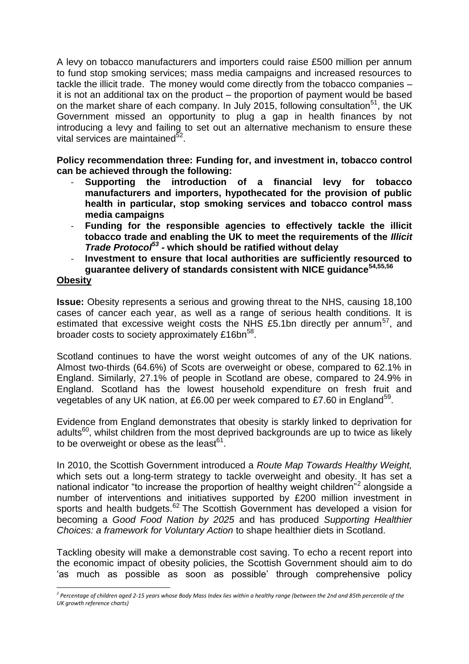A levy on tobacco manufacturers and importers could raise £500 million per annum to fund stop smoking services; mass media campaigns and increased resources to tackle the illicit trade. The money would come directly from the tobacco companies – it is not an additional tax on the product – the proportion of payment would be based on the market share of each company. In July 2015, following consultation<sup>51</sup>, the UK Government missed an opportunity to plug a gap in health finances by not introducing a levy and failing to set out an alternative mechanism to ensure these vital services are maintained<sup>52</sup> .

**Policy recommendation three: Funding for, and investment in, tobacco control can be achieved through the following:** 

- **Supporting the introduction of a financial levy for tobacco manufacturers and importers, hypothecated for the provision of public health in particular, stop smoking services and tobacco control mass media campaigns**
- **Funding for the responsible agencies to effectively tackle the illicit tobacco trade and enabling the UK to meet the requirements of the** *Illicit Trade Protocol<sup>53</sup> -* **which should be ratified without delay**
- **Investment to ensure that local authorities are sufficiently resourced to guarantee delivery of standards consistent with NICE guidance54,55,56**

### **Obesity**

1

**Issue:** Obesity represents a serious and growing threat to the NHS, causing 18,100 cases of cancer each year, as well as a range of serious health conditions. It is estimated that excessive weight costs the NHS £5.1bn directly per annum<sup>57</sup>, and broader costs to society approximately £16bn<sup>58</sup>.

Scotland continues to have the worst weight outcomes of any of the UK nations. Almost two-thirds (64.6%) of Scots are overweight or obese, compared to 62.1% in England. Similarly, 27.1% of people in Scotland are obese, compared to 24.9% in England. Scotland has the lowest household expenditure on fresh fruit and vegetables of any UK nation, at £6.00 per week compared to £7.60 in England<sup>59</sup>.

Evidence from England demonstrates that obesity is starkly linked to deprivation for adults<sup>60</sup>, whilst children from the most deprived backgrounds are up to twice as likely to be overweight or obese as the least $^{61}$ .

In 2010, the Scottish Government introduced a *Route Map Towards Healthy Weight,* which sets out a long-term strategy to tackle overweight and obesity. It has set a national indicator "to increase the proportion of healthy weight children<sup>"2</sup> alongside a number of interventions and initiatives supported by £200 million investment in sports and health budgets.<sup>62</sup> The Scottish Government has developed a vision for becoming a *Good Food Nation by 2025* and has produced *Supporting Healthier Choices: a framework for Voluntary Action* to shape healthier diets in Scotland.

Tackling obesity will make a demonstrable cost saving. To echo a recent report into the economic impact of obesity policies, the Scottish Government should aim to do 'as much as possible as soon as possible' through comprehensive policy

<sup>&</sup>lt;sup>2</sup> Percentage of children aged 2-15 years whose Body Mass Index lies within a healthy range (between the 2nd and 85th percentile of the *UK growth reference charts)*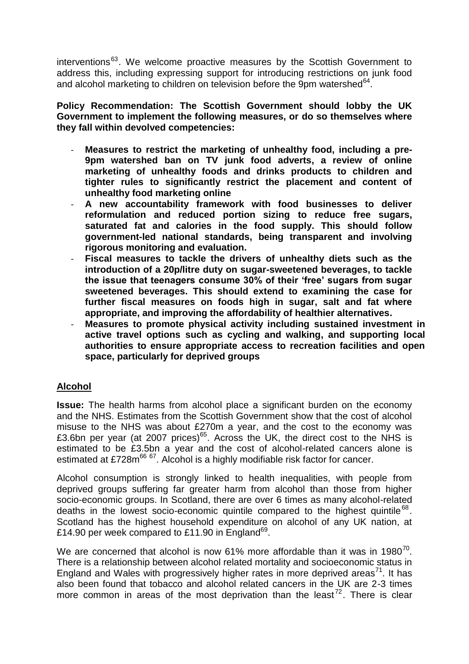$interventions<sup>63</sup>$ . We welcome proactive measures by the Scottish Government to address this, including expressing support for introducing restrictions on junk food and alcohol marketing to children on television before the 9pm watershed $^{64}$ .

**Policy Recommendation: The Scottish Government should lobby the UK Government to implement the following measures, or do so themselves where they fall within devolved competencies:**

- Measures to restrict the marketing of unhealthy food, including a pre-**9pm watershed ban on TV junk food adverts, a review of online marketing of unhealthy foods and drinks products to children and tighter rules to significantly restrict the placement and content of unhealthy food marketing online**
- **A new accountability framework with food businesses to deliver reformulation and reduced portion sizing to reduce free sugars, saturated fat and calories in the food supply. This should follow government-led national standards, being transparent and involving rigorous monitoring and evaluation.**
- **Fiscal measures to tackle the drivers of unhealthy diets such as the introduction of a 20p/litre duty on sugar-sweetened beverages, to tackle the issue that teenagers consume 30% of their 'free' sugars from sugar sweetened beverages. This should extend to examining the case for further fiscal measures on foods high in sugar, salt and fat where appropriate, and improving the affordability of healthier alternatives.**
- **Measures to promote physical activity including sustained investment in active travel options such as cycling and walking, and supporting local authorities to ensure appropriate access to recreation facilities and open space, particularly for deprived groups**

# **Alcohol**

**Issue:** The health harms from alcohol place a significant burden on the economy and the NHS. Estimates from the Scottish Government show that the cost of alcohol misuse to the NHS was about £270m a year, and the cost to the economy was £3.6bn per year (at 2007 prices)<sup>65</sup>. Across the UK, the direct cost to the NHS is estimated to be £3.5bn a year and the cost of alcohol-related cancers alone is estimated at £728m<sup>66 67</sup>. Alcohol is a highly modifiable risk factor for cancer.

Alcohol consumption is strongly linked to health inequalities, with people from deprived groups suffering far greater harm from alcohol than those from higher socio-economic groups. In Scotland, there are over 6 times as many alcohol-related deaths in the lowest socio-economic quintile compared to the highest quintile<sup>68</sup>. Scotland has the highest household expenditure on alcohol of any UK nation, at £14.90 per week compared to £11.90 in England $^{69}$ .

We are concerned that alcohol is now 61% more affordable than it was in 1980<sup>70</sup>. There is a relationship between alcohol related mortality and socioeconomic status in England and Wales with progressively higher rates in more deprived areas<sup>71</sup>. It has also been found that tobacco and alcohol related cancers in the UK are 2-3 times more common in areas of the most deprivation than the least<sup>72</sup>. There is clear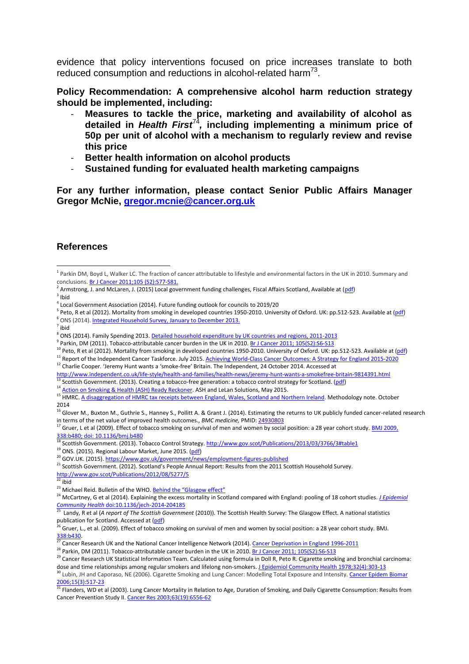evidence that policy interventions focused on price increases translate to both reduced consumption and reductions in alcohol-related harm<sup>73</sup>.

**Policy Recommendation: A comprehensive alcohol harm reduction strategy should be implemented, including:**

- Measures to tackle the price, marketing and availability of alcohol as **detailed in** *Health First*<sup>74</sup> *,* **including implementing a minimum price of 50p per unit of alcohol with a mechanism to regularly review and revise this price**
- **Better health information on alcohol products**
- **Sustained funding for evaluated health marketing campaigns**

**For any further information, please contact Senior Public Affairs Manager Gregor McNie, [gregor.mcnie@cancer.org.uk](mailto:gregor.mcnie@cancer.org.uk)**

#### **References**

<sup>2</sup> Armstrong, J. and McLaren, J. (2015) Local government funding challenges, Fiscal Affairs Scotland, Available at (*pdf*)  $3$  Ibid

- <sup>5</sup> Peto, R et al (2012). Mortality from smoking in developed countries 1950-2010. University of Oxford. UK: pp.512-523. Available at (*pdf*) <sup>6</sup> ONS (2014)[. Integrated Household Survey, January to December 2013.](http://www.ons.gov.uk/ons/rel/integrated-household-survey/integrated-household-survey/index.html)
- 7 ibid

- <sup>9</sup> Parkin, DM (2011). Tobacco-attributable cancer burden in the UK in 2010. <u>Br J Cancer 2011; 105(S2):S6-S13</u>
- $10$  Peto, R et al (2012). Mortality from smoking in developed countries 1950-2010. University of Oxford. UK: pp.512-523. Available at [\(pdf\)](http://www.ctsu.ox.ac.uk/research/mega-studies/mortality-from-smoking-in-developed-countries-1950-2010/mortality-from-smoking-in-developed-countries-1950-2010)
- <sup>11</sup> Report of the Independent Cancer Taskforce. July 2015[. Achieving World-Class Cancer Outcomes: A Strategy for England 2015-2020](http://www.cancerresearchuk.org/sites/default/files/achieving_world-class_cancer_outcomes_-_a_strategy_for_england_2015-2020.pdf)
- <sup>12</sup> Charlie Cooper. 'Jeremy Hunt wants a 'smoke-free' Britain. The Independent, 24 October 2014. Accessed at
- <http://www.independent.co.uk/life-style/health-and-families/health-news/jeremy-hunt-wants-a-smokefree-britain-9814391.html>
- Scottish Government. (2013). Creating a tobacco-free generation: a tobacco control strategy for Scotland. [\(pdf\)](http://www.gov.scot/Resource/0041/00417331.pdf)
- 14 [Action on Smoking & Health \(ASH\) Ready Reckoner.](http://ash.org.uk/localtoolkit/docs/Reckoner.xls) ASH and LeLan Solutions, May 2015.

<sup>16</sup> Glover M., Buxton M., Guthrie S., Hanney S., Pollitt A. & Grant J. (2014). Estimating the returns to UK publicly funded cancer-related research in terms of the net value of improved health outcomes., *BMC medicine,* PMID: [24930803](http://www.ncbi.nlm.nih.gov/pubmed/24930803)

<sup>17</sup> Gruer, L et al (2009). Effect of tobacco smoking on survival of men and women by social position: a 28 year cohort study. <u>BMJ 2009,</u> [338:b480; doi: 10.1136/bmj.b480](http://www.ncbi.nlm.nih.gov/pmc/articles/PMC2645845/)

- <sup>18</sup> Scottish Government. (2013). Tobacco Control Strategy[. http://www.gov.scot/Publications/2013/03/3766/3#table1](http://www.gov.scot/Publications/2013/03/3766/3#table1)
- $19$  ONS. (2015). Regional Labour Market, June 2015. [\(pdf\)](http://www.ons.gov.uk/ons/dcp171778_407073.pdf)
- <sup>20</sup> GOV.UK. (2015)[. https://www.gov.uk/government/news/employment-figures-published](https://www.gov.uk/government/news/employment-figures-published)
- <sup>21</sup> Scottish Government. (2012). Scotland's People Annual Report: Results from the 2011 Scottish Household Survey.

 $22$  ibid

 1 Parkin DM, Boyd L, Walker LC. The fraction of cancer attributable to lifestyle and environmental factors in the UK in 2010. Summary and conclusions[. Br J Cancer 2011;105 \(S2\):S77-S81.](http://www.nature.com/bjc/journal/v105/n2s/abs/bjc2011489a.html)

<sup>4</sup> Local Government Association (2014). Future funding outlook for councils to 2019/20

<sup>8</sup> ONS (2014). Family Spending 2013[. Detailed household expenditure by UK countries and regions, 2011-2013](http://www.ons.gov.uk/ons/rel/family-spending/family-spending/2014-edition/rft-a35-final-2013.xls)

<sup>15</sup> HMRC[. A disaggregation of HMRC tax receipts between England, Wales, Scotland and Northern Ireland.](https://www.gov.uk/government/uploads/system/uploads/attachment_data/file/359890/disag-method.pdf) Methodology note. October 2014

<http://www.gov.scot/Publications/2012/08/5277/5>

<sup>&</sup>lt;sup>23</sup> Michael Reid. Bulletin of the WHO. **[Behind the "Glasgow effect"](http://www.who.int/bulletin/volumes/89/10/11-021011/en/)** 

<sup>24</sup> McCartney, G et al (2014). Explaining the excess mortality in Scotland compared with England: pooling of 18 cohort studies. *[J Epidemiol](http://jech.bmj.com/content/early/2014/09/12/jech-2014-204185.full)* 

*Community Health* [doi:10.1136/jech-2014-204185](http://jech.bmj.com/content/early/2014/09/12/jech-2014-204185.full) 25 Landy, R et al (*A report of The Scottish Government* (2010)). The Scottish Health Survey: The Glasgow Effect. A national statistics publication for Scotland. Accessed at (pdf)

<sup>&</sup>lt;sup>26</sup> Gruer, L., et al. (2009). Effect of tobacco smoking on survival of men and women by social position: a 28 year cohort study. BMJ. [338:b430.](http://www.bmj.com/content/338/bmj.b480.long)

<sup>&</sup>lt;sup>27</sup> Cancer Research UK and the National Cancer Intelligence Network (2014)[. Cancer Deprivation in England 1996-2011](http://www.ncin.org.uk/about_ncin/cancer_by_deprivation_in_england)

<sup>&</sup>lt;sup>28</sup> Parkin, DM (2011). Tobacco-attributable cancer burden in the UK in 2010[. Br J Cancer 2011; 105\(S2\):S6-S13](http://www.ncbi.nlm.nih.gov/pubmed/22158323)

<sup>&</sup>lt;sup>29</sup> Cancer Research UK Statistical Information Team. Calculated using formula in Doll R, Peto R. Cigarette smoking and bronchial carcinoma: dose and time relationships among regular smokers and lifelong non-smokers. [J Epidemiol Community Health 1978;32\(4\):303-13](http://www.ncbi.nlm.nih.gov/pubmed/744822)

<sup>&</sup>lt;sup>30</sup> Lubin, JH and Caporaso, NE (2006). Cigarette Smoking and Lung Cancer: Modelling Total Exposure and Intensity. Cancer Epidem Biomar [2006;15\(3\):517-23](http://www.ncbi.nlm.nih.gov/pubmed/16537710)

<sup>31</sup> Flanders, WD et al (2003). Lung Cancer Mortality in Relation to Age, Duration of Smoking, and Daily Cigarette Consumption: Results from Cancer Prevention Study II. [Cancer Res 2003;63\(19\):6556-62](http://www.ncbi.nlm.nih.gov/pubmed?term=14559851)